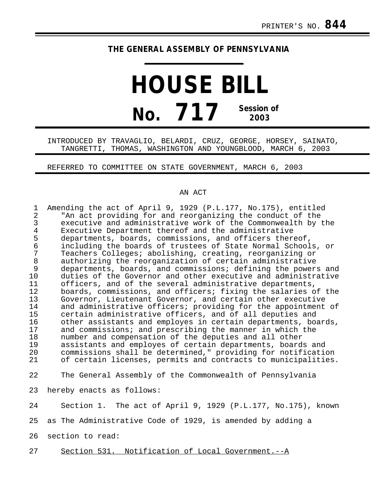## **THE GENERAL ASSEMBLY OF PENNSYLVANIA**

## **HOUSE BILL No. 717 Session of 2003**

## INTRODUCED BY TRAVAGLIO, BELARDI, CRUZ, GEORGE, HORSEY, SAINATO, TANGRETTI, THOMAS, WASHINGTON AND YOUNGBLOOD, MARCH 6, 2003

REFERRED TO COMMITTEE ON STATE GOVERNMENT, MARCH 6, 2003

## AN ACT

| $\mathbf{1}$<br>$\overline{2}$<br>$\mathfrak{Z}$<br>$\overline{4}$<br>5<br>6<br>7<br>$\,8\,$<br>9<br>10<br>11<br>12<br>13<br>14<br>15<br>16<br>17<br>18<br>19<br>20<br>21 | Amending the act of April 9, 1929 (P.L.177, No.175), entitled<br>"An act providing for and reorganizing the conduct of the<br>executive and administrative work of the Commonwealth by the<br>Executive Department thereof and the administrative<br>departments, boards, commissions, and officers thereof,<br>including the boards of trustees of State Normal Schools, or<br>Teachers Colleges; abolishing, creating, reorganizing or<br>authorizing the reorganization of certain administrative<br>departments, boards, and commissions; defining the powers and<br>duties of the Governor and other executive and administrative<br>officers, and of the several administrative departments,<br>boards, commissions, and officers; fixing the salaries of the<br>Governor, Lieutenant Governor, and certain other executive<br>and administrative officers; providing for the appointment of<br>certain administrative officers, and of all deputies and<br>other assistants and employes in certain departments, boards,<br>and commissions; and prescribing the manner in which the<br>number and compensation of the deputies and all other<br>assistants and employes of certain departments, boards and<br>commissions shall be determined," providing for notification<br>of certain licenses, permits and contracts to municipalities. |
|---------------------------------------------------------------------------------------------------------------------------------------------------------------------------|-----------------------------------------------------------------------------------------------------------------------------------------------------------------------------------------------------------------------------------------------------------------------------------------------------------------------------------------------------------------------------------------------------------------------------------------------------------------------------------------------------------------------------------------------------------------------------------------------------------------------------------------------------------------------------------------------------------------------------------------------------------------------------------------------------------------------------------------------------------------------------------------------------------------------------------------------------------------------------------------------------------------------------------------------------------------------------------------------------------------------------------------------------------------------------------------------------------------------------------------------------------------------------------------------------------------------------------------------------|
| 22                                                                                                                                                                        | The General Assembly of the Commonwealth of Pennsylvania                                                                                                                                                                                                                                                                                                                                                                                                                                                                                                                                                                                                                                                                                                                                                                                                                                                                                                                                                                                                                                                                                                                                                                                                                                                                                            |
| 23                                                                                                                                                                        | hereby enacts as follows:                                                                                                                                                                                                                                                                                                                                                                                                                                                                                                                                                                                                                                                                                                                                                                                                                                                                                                                                                                                                                                                                                                                                                                                                                                                                                                                           |
| 24                                                                                                                                                                        | Section 1. The act of April 9, 1929 (P.L.177, No.175), known                                                                                                                                                                                                                                                                                                                                                                                                                                                                                                                                                                                                                                                                                                                                                                                                                                                                                                                                                                                                                                                                                                                                                                                                                                                                                        |
| 25                                                                                                                                                                        | as The Administrative Code of 1929, is amended by adding a                                                                                                                                                                                                                                                                                                                                                                                                                                                                                                                                                                                                                                                                                                                                                                                                                                                                                                                                                                                                                                                                                                                                                                                                                                                                                          |
| 26                                                                                                                                                                        | section to read:                                                                                                                                                                                                                                                                                                                                                                                                                                                                                                                                                                                                                                                                                                                                                                                                                                                                                                                                                                                                                                                                                                                                                                                                                                                                                                                                    |
| 27                                                                                                                                                                        | Section 531. Notification of Local Government.--A                                                                                                                                                                                                                                                                                                                                                                                                                                                                                                                                                                                                                                                                                                                                                                                                                                                                                                                                                                                                                                                                                                                                                                                                                                                                                                   |